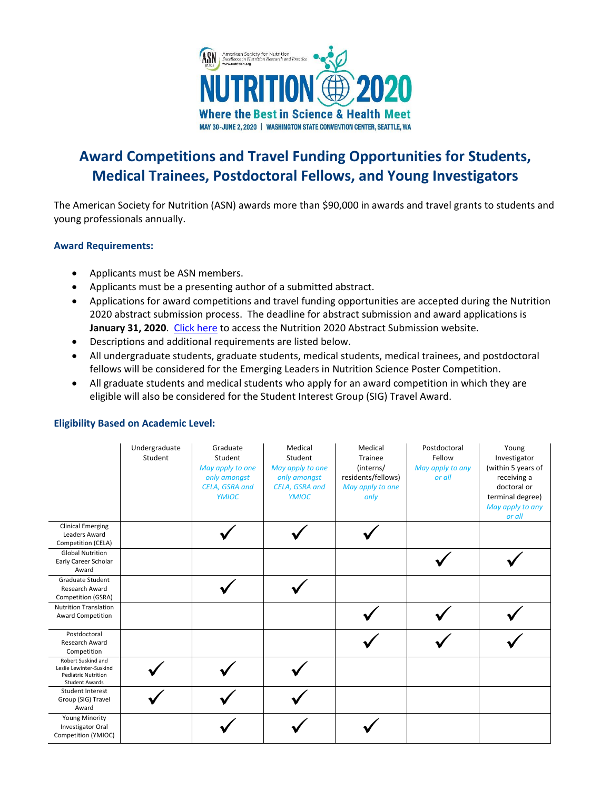

# **Award Competitions and Travel Funding Opportunities for Students, Medical Trainees, Postdoctoral Fellows, and Young Investigators**

The American Society for Nutrition (ASN) awards more than \$90,000 in awards and travel grants to students and young professionals annually.

### **Award Requirements:**

- Applicants must be ASN members.
- Applicants must be a presenting author of a submitted abstract.
- Applications for award competitions and travel funding opportunities are accepted during the Nutrition 2020 abstract submission process. The deadline for abstract submission and award applications is **January 31, 2020**. [Click here](https://nutrition.link/abstract-submission-2020) to access the Nutrition 2020 Abstract Submission website.
- Descriptions and additional requirements are listed below.
- All undergraduate students, graduate students, medical students, medical trainees, and postdoctoral fellows will be considered for the Emerging Leaders in Nutrition Science Poster Competition.
- All graduate students and medical students who apply for an award competition in which they are eligible will also be considered for the Student Interest Group (SIG) Travel Award.

|                                                                                                      | Undergraduate<br>Student | Graduate<br>Student<br>May apply to one<br>only amongst<br>CELA, GSRA and<br><b>YMIOC</b> | Medical<br>Student<br>May apply to one<br>only amongst<br>CELA, GSRA and<br><b>YMIOC</b> | Medical<br>Trainee<br>(interns/<br>residents/fellows)<br>May apply to one<br>only | Postdoctoral<br>Fellow<br>May apply to any<br>or all | Young<br>Investigator<br>(within 5 years of<br>receiving a<br>doctoral or<br>terminal degree)<br>May apply to any<br>or all |
|------------------------------------------------------------------------------------------------------|--------------------------|-------------------------------------------------------------------------------------------|------------------------------------------------------------------------------------------|-----------------------------------------------------------------------------------|------------------------------------------------------|-----------------------------------------------------------------------------------------------------------------------------|
| <b>Clinical Emerging</b><br>Leaders Award<br>Competition (CELA)                                      |                          |                                                                                           |                                                                                          |                                                                                   |                                                      |                                                                                                                             |
| <b>Global Nutrition</b><br>Early Career Scholar<br>Award                                             |                          |                                                                                           |                                                                                          |                                                                                   |                                                      |                                                                                                                             |
| <b>Graduate Student</b><br>Research Award<br>Competition (GSRA)                                      |                          |                                                                                           |                                                                                          |                                                                                   |                                                      |                                                                                                                             |
| <b>Nutrition Translation</b><br><b>Award Competition</b>                                             |                          |                                                                                           |                                                                                          |                                                                                   |                                                      |                                                                                                                             |
| Postdoctoral<br>Research Award<br>Competition                                                        |                          |                                                                                           |                                                                                          |                                                                                   |                                                      |                                                                                                                             |
| Robert Suskind and<br>Leslie Lewinter-Suskind<br><b>Pediatric Nutrition</b><br><b>Student Awards</b> |                          |                                                                                           |                                                                                          |                                                                                   |                                                      |                                                                                                                             |
| Student Interest<br>Group (SIG) Travel<br>Award                                                      |                          |                                                                                           |                                                                                          |                                                                                   |                                                      |                                                                                                                             |
| <b>Young Minority</b><br>Investigator Oral<br>Competition (YMIOC)                                    |                          |                                                                                           |                                                                                          |                                                                                   |                                                      |                                                                                                                             |

## **Eligibility Based on Academic Level:**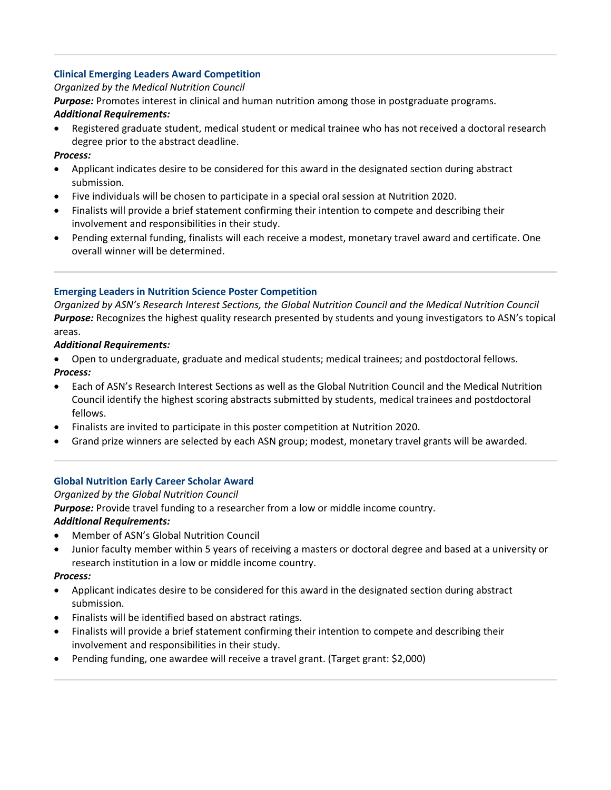## **Clinical Emerging Leaders Award Competition**

## *Organized by the Medical Nutrition Council*

*Purpose:* Promotes interest in clinical and human nutrition among those in postgraduate programs.

## *Additional Requirements:*

• Registered graduate student, medical student or medical trainee who has not received a doctoral research degree prior to the abstract deadline.

## *Process:*

- Applicant indicates desire to be considered for this award in the designated section during abstract submission.
- Five individuals will be chosen to participate in a special oral session at Nutrition 2020.
- Finalists will provide a brief statement confirming their intention to compete and describing their involvement and responsibilities in their study.
- Pending external funding, finalists will each receive a modest, monetary travel award and certificate. One overall winner will be determined.

## **Emerging Leaders in Nutrition Science Poster Competition**

*Organized by ASN's Research Interest Sections, the Global Nutrition Council and the Medical Nutrition Council Purpose:* Recognizes the highest quality research presented by students and young investigators to ASN's topical areas.

## *Additional Requirements:*

• Open to undergraduate, graduate and medical students; medical trainees; and postdoctoral fellows. *Process:* 

- Each of ASN's Research Interest Sections as well as the Global Nutrition Council and the Medical Nutrition Council identify the highest scoring abstracts submitted by students, medical trainees and postdoctoral fellows.
- Finalists are invited to participate in this poster competition at Nutrition 2020.
- Grand prize winners are selected by each ASN group; modest, monetary travel grants will be awarded.

## **Global Nutrition Early Career Scholar Award**

## *Organized by the Global Nutrition Council*

*Purpose:* Provide travel funding to a researcher from a low or middle income country.

## *Additional Requirements:*

- Member of ASN's Global Nutrition Council
- Junior faculty member within 5 years of receiving a masters or doctoral degree and based at a university or research institution in a low or middle income country.

### *Process:*

- Applicant indicates desire to be considered for this award in the designated section during abstract submission.
- Finalists will be identified based on abstract ratings.
- Finalists will provide a brief statement confirming their intention to compete and describing their involvement and responsibilities in their study.
- Pending funding, one awardee will receive a travel grant. (Target grant: \$2,000)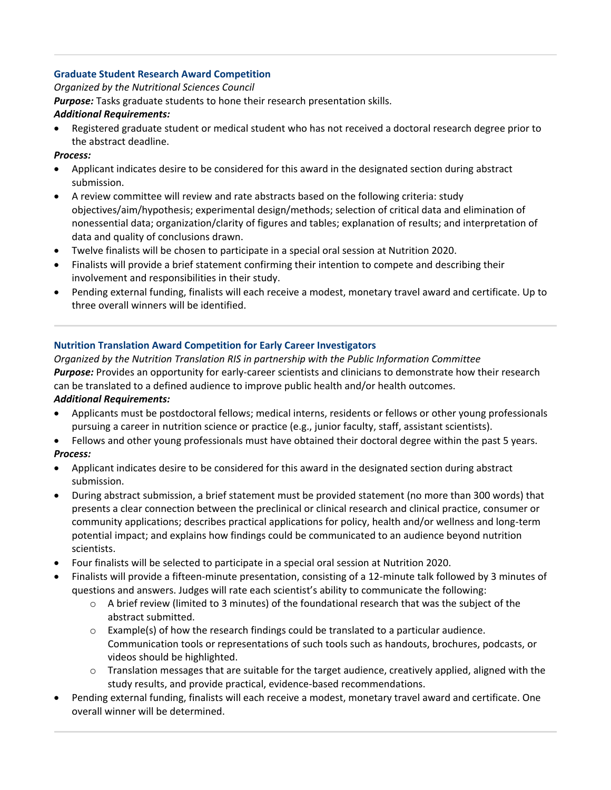## **Graduate Student Research Award Competition**

### *Organized by the Nutritional Sciences Council*

*Purpose:* Tasks graduate students to hone their research presentation skills.

## *Additional Requirements:*

• Registered graduate student or medical student who has not received a doctoral research degree prior to the abstract deadline.

## *Process:*

- Applicant indicates desire to be considered for this award in the designated section during abstract submission.
- A review committee will review and rate abstracts based on the following criteria: study objectives/aim/hypothesis; experimental design/methods; selection of critical data and elimination of nonessential data; organization/clarity of figures and tables; explanation of results; and interpretation of data and quality of conclusions drawn.
- Twelve finalists will be chosen to participate in a special oral session at Nutrition 2020.
- Finalists will provide a brief statement confirming their intention to compete and describing their involvement and responsibilities in their study.
- Pending external funding, finalists will each receive a modest, monetary travel award and certificate. Up to three overall winners will be identified.

## **Nutrition Translation Award Competition for Early Career Investigators**

*Organized by the Nutrition Translation RIS in partnership with the Public Information Committee Purpose:* Provides an opportunity for early-career scientists and clinicians to demonstrate how their research can be translated to a defined audience to improve public health and/or health outcomes. *Additional Requirements:* 

• Applicants must be postdoctoral fellows; medical interns, residents or fellows or other young professionals pursuing a career in nutrition science or practice (e.g., junior faculty, staff, assistant scientists).

## • Fellows and other young professionals must have obtained their doctoral degree within the past 5 years. *Process:*

- Applicant indicates desire to be considered for this award in the designated section during abstract submission.
- During abstract submission, a brief statement must be provided statement (no more than 300 words) that presents a clear connection between the preclinical or clinical research and clinical practice, consumer or community applications; describes practical applications for policy, health and/or wellness and long-term potential impact; and explains how findings could be communicated to an audience beyond nutrition scientists.
- Four finalists will be selected to participate in a special oral session at Nutrition 2020.
- Finalists will provide a fifteen-minute presentation, consisting of a 12-minute talk followed by 3 minutes of questions and answers. Judges will rate each scientist's ability to communicate the following:
	- o A brief review (limited to 3 minutes) of the foundational research that was the subject of the abstract submitted.
	- $\circ$  Example(s) of how the research findings could be translated to a particular audience. Communication tools or representations of such tools such as handouts, brochures, podcasts, or videos should be highlighted.
	- $\circ$  Translation messages that are suitable for the target audience, creatively applied, aligned with the study results, and provide practical, evidence-based recommendations.
- Pending external funding, finalists will each receive a modest, monetary travel award and certificate. One overall winner will be determined.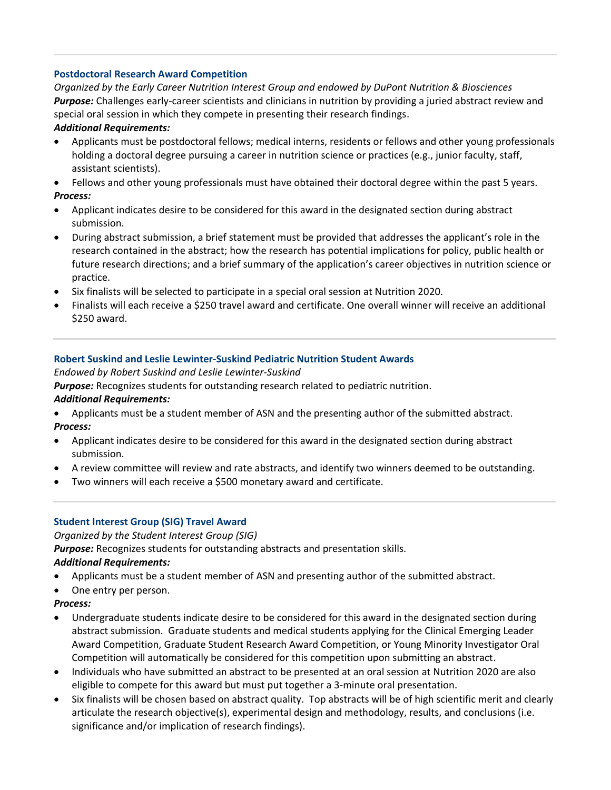## **Postdoctoral Research Award Competition**

*Organized by the Early Career Nutrition Interest Group and endowed by DuPont Nutrition & Biosciences Purpose:* Challenges early-career scientists and clinicians in nutrition by providing a juried abstract review and special oral session in which they compete in presenting their research findings.

### *Additional Requirements:*

- Applicants must be postdoctoral fellows; medical interns, residents or fellows and other young professionals holding a doctoral degree pursuing a career in nutrition science or practices (e.g., junior faculty, staff, assistant scientists).
- Fellows and other young professionals must have obtained their doctoral degree within the past 5 years. *Process:*
- Applicant indicates desire to be considered for this award in the designated section during abstract submission.
- During abstract submission, a brief statement must be provided that addresses the applicant's role in the research contained in the abstract; how the research has potential implications for policy, public health or future research directions; and a brief summary of the application's career objectives in nutrition science or practice.
- Six finalists will be selected to participate in a special oral session at Nutrition 2020.
- Finalists will each receive a \$250 travel award and certificate. One overall winner will receive an additional \$250 award.

## **Robert Suskind and Leslie Lewinter-Suskind Pediatric Nutrition Student Awards**

### *Endowed by Robert Suskind and Leslie Lewinter-Suskind*

*Purpose:* Recognizes students for outstanding research related to pediatric nutrition.

## *Additional Requirements:*

- Applicants must be a student member of ASN and the presenting author of the submitted abstract. *Process:*
- Applicant indicates desire to be considered for this award in the designated section during abstract submission.
- A review committee will review and rate abstracts, and identify two winners deemed to be outstanding.
- Two winners will each receive a \$500 monetary award and certificate.

### **Student Interest Group (SIG) Travel Award**

*Organized by the Student Interest Group (SIG)*

*Purpose:* Recognizes students for outstanding abstracts and presentation skills.

### *Additional Requirements:*

- Applicants must be a student member of ASN and presenting author of the submitted abstract.
- One entry per person.

### *Process:*

- Undergraduate students indicate desire to be considered for this award in the designated section during abstract submission. Graduate students and medical students applying for the Clinical Emerging Leader Award Competition, Graduate Student Research Award Competition, or Young Minority Investigator Oral Competition will automatically be considered for this competition upon submitting an abstract.
- Individuals who have submitted an abstract to be presented at an oral session at Nutrition 2020 are also eligible to compete for this award but must put together a 3-minute oral presentation.
- Six finalists will be chosen based on abstract quality. Top abstracts will be of high scientific merit and clearly articulate the research objective(s), experimental design and methodology, results, and conclusions (i.e. significance and/or implication of research findings).